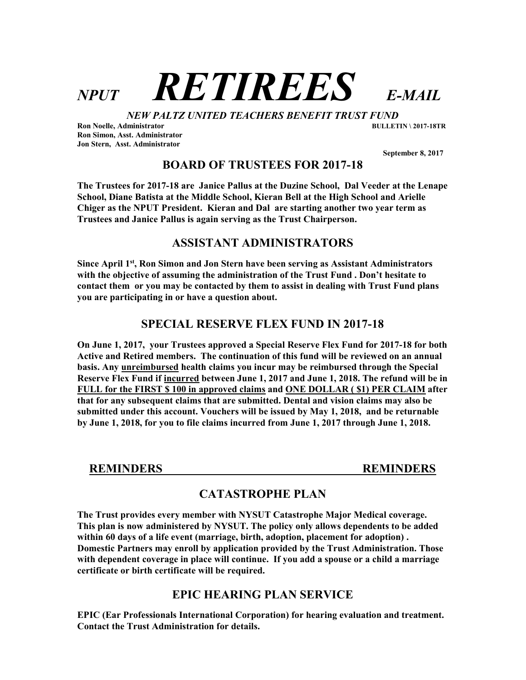# NPUT RETIREES E-MAIL

NEW PALTZ UNITED TEACHERS BENEFIT TRUST FUND

Ron Noelle, Administrator BULLETIN \ 2017-18TR Ron Simon, Asst. Administrator Jon Stern, Asst. Administrator

September 8, 2017

BOARD OF TRUSTEES FOR 2017-18

The Trustees for 2017-18 are Janice Pallus at the Duzine School, Dal Veeder at the Lenape School, Diane Batista at the Middle School, Kieran Bell at the High School and Arielle Chiger as the NPUT President. Kieran and Dal are starting another two year term as Trustees and Janice Pallus is again serving as the Trust Chairperson.

# ASSISTANT ADMINISTRATORS

Since April 1<sup>st</sup>, Ron Simon and Jon Stern have been serving as Assistant Administrators with the objective of assuming the administration of the Trust Fund . Don't hesitate to contact them or you may be contacted by them to assist in dealing with Trust Fund plans you are participating in or have a question about.

# SPECIAL RESERVE FLEX FUND IN 2017-18

On June 1, 2017, your Trustees approved a Special Reserve Flex Fund for 2017-18 for both Active and Retired members. The continuation of this fund will be reviewed on an annual basis. Any unreimbursed health claims you incur may be reimbursed through the Special Reserve Flex Fund if incurred between June 1, 2017 and June 1, 2018. The refund will be in FULL for the FIRST \$ 100 in approved claims and ONE DOLLAR ( \$1) PER CLAIM after that for any subsequent claims that are submitted. Dental and vision claims may also be submitted under this account. Vouchers will be issued by May 1, 2018, and be returnable by June 1, 2018, for you to file claims incurred from June 1, 2017 through June 1, 2018.

REMINDERS REMINDERS

# CATASTROPHE PLAN

The Trust provides every member with NYSUT Catastrophe Major Medical coverage. This plan is now administered by NYSUT. The policy only allows dependents to be added within 60 days of a life event (marriage, birth, adoption, placement for adoption) . Domestic Partners may enroll by application provided by the Trust Administration. Those with dependent coverage in place will continue. If you add a spouse or a child a marriage certificate or birth certificate will be required.

# EPIC HEARING PLAN SERVICE

EPIC (Ear Professionals International Corporation) for hearing evaluation and treatment. Contact the Trust Administration for details.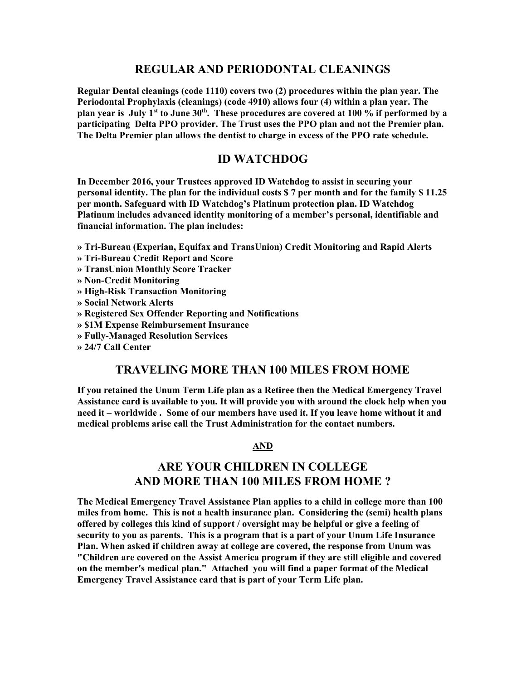## REGULAR AND PERIODONTAL CLEANINGS

Regular Dental cleanings (code 1110) covers two (2) procedures within the plan year. The Periodontal Prophylaxis (cleanings) (code 4910) allows four (4) within a plan year. The plan year is July 1<sup>st</sup> to June  $30<sup>th</sup>$ . These procedures are covered at 100 % if performed by a participating Delta PPO provider. The Trust uses the PPO plan and not the Premier plan. The Delta Premier plan allows the dentist to charge in excess of the PPO rate schedule.

### ID WATCHDOG

In December 2016, your Trustees approved ID Watchdog to assist in securing your personal identity. The plan for the individual costs \$ 7 per month and for the family \$ 11.25 per month. Safeguard with ID Watchdog's Platinum protection plan. ID Watchdog Platinum includes advanced identity monitoring of a member's personal, identifiable and financial information. The plan includes:

» Tri-Bureau (Experian, Equifax and TransUnion) Credit Monitoring and Rapid Alerts

- » Tri-Bureau Credit Report and Score
- » TransUnion Monthly Score Tracker
- » Non-Credit Monitoring
- » High-Risk Transaction Monitoring
- » Social Network Alerts

#### » Registered Sex Offender Reporting and Notifications

- » \$1M Expense Reimbursement Insurance
- » Fully-Managed Resolution Services
- » 24/7 Call Center

### TRAVELING MORE THAN 100 MILES FROM HOME

If you retained the Unum Term Life plan as a Retiree then the Medical Emergency Travel Assistance card is available to you. It will provide you with around the clock help when you need it – worldwide . Some of our members have used it. If you leave home without it and medical problems arise call the Trust Administration for the contact numbers.

#### AND

# ARE YOUR CHILDREN IN COLLEGE AND MORE THAN 100 MILES FROM HOME ?

The Medical Emergency Travel Assistance Plan applies to a child in college more than 100 miles from home. This is not a health insurance plan. Considering the (semi) health plans offered by colleges this kind of support / oversight may be helpful or give a feeling of security to you as parents. This is a program that is a part of your Unum Life Insurance Plan. When asked if children away at college are covered, the response from Unum was "Children are covered on the Assist America program if they are still eligible and covered on the member's medical plan." Attached you will find a paper format of the Medical Emergency Travel Assistance card that is part of your Term Life plan.